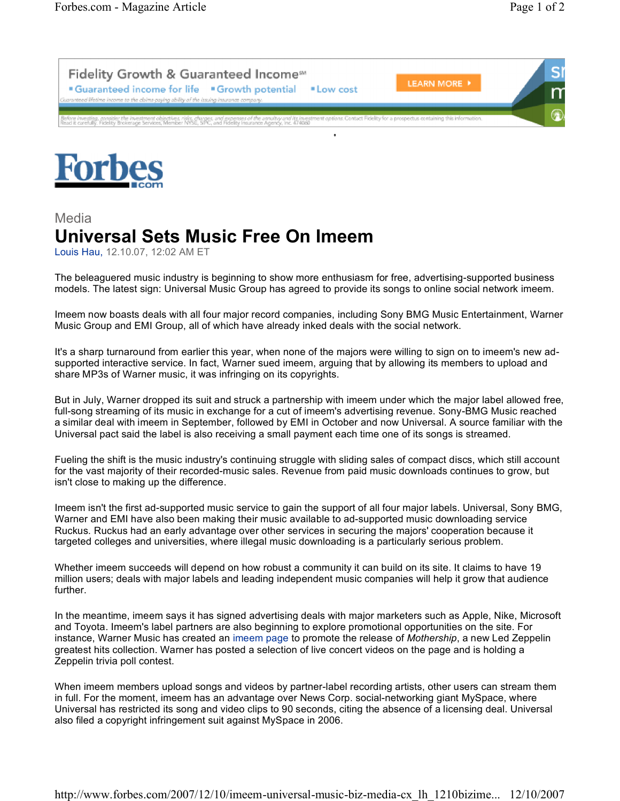



## Media **Universal Sets Music Free On Imeem**

Louis Hau, 12.10.07, 12:02 AM ET

The beleaguered music industry is beginning to show more enthusiasm for free, advertising-supported business models. The latest sign: Universal Music Group has agreed to provide its songs to online social network imeem.

Imeem now boasts deals with all four major record companies, including Sony BMG Music Entertainment, Warner Music Group and EMI Group, all of which have already inked deals with the social network.

It's a sharp turnaround from earlier this year, when none of the majors were willing to sign on to imeem's new adsupported interactive service. In fact, Warner sued imeem, arguing that by allowing its members to upload and share MP3s of Warner music, it was infringing on its copyrights.

But in July, Warner dropped its suit and struck a partnership with imeem under which the major label allowed free, full-song streaming of its music in exchange for a cut of imeem's advertising revenue. Sony-BMG Music reached a similar deal with imeem in September, followed by EMI in October and now Universal. A source familiar with the Universal pact said the label is also receiving a small payment each time one of its songs is streamed.

Fueling the shift is the music industry's continuing struggle with sliding sales of compact discs, which still account for the vast majority of their recorded-music sales. Revenue from paid music downloads continues to grow, but isn't close to making up the difference.

Imeem isn't the first ad-supported music service to gain the support of all four major labels. Universal, Sony BMG, Warner and EMI have also been making their music available to ad-supported music downloading service Ruckus. Ruckus had an early advantage over other services in securing the majors' cooperation because it targeted colleges and universities, where illegal music downloading is a particularly serious problem.

Whether imeem succeeds will depend on how robust a community it can build on its site. It claims to have 19 million users; deals with major labels and leading independent music companies will help it grow that audience further.

In the meantime, imeem says it has signed advertising deals with major marketers such as Apple, Nike, Microsoft and Toyota. Imeem's label partners are also beginning to explore promotional opportunities on the site. For instance, Warner Music has created an imeem page to promote the release of *Mothership*, a new Led Zeppelin greatest hits collection. Warner has posted a selection of live concert videos on the page and is holding a Zeppelin trivia poll contest.

When imeem members upload songs and videos by partner-label recording artists, other users can stream them in full. For the moment, imeem has an advantage over News Corp. social-networking giant MySpace, where Universal has restricted its song and video clips to 90 seconds, citing the absence of a licensing deal. Universal also filed a copyright infringement suit against MySpace in 2006.